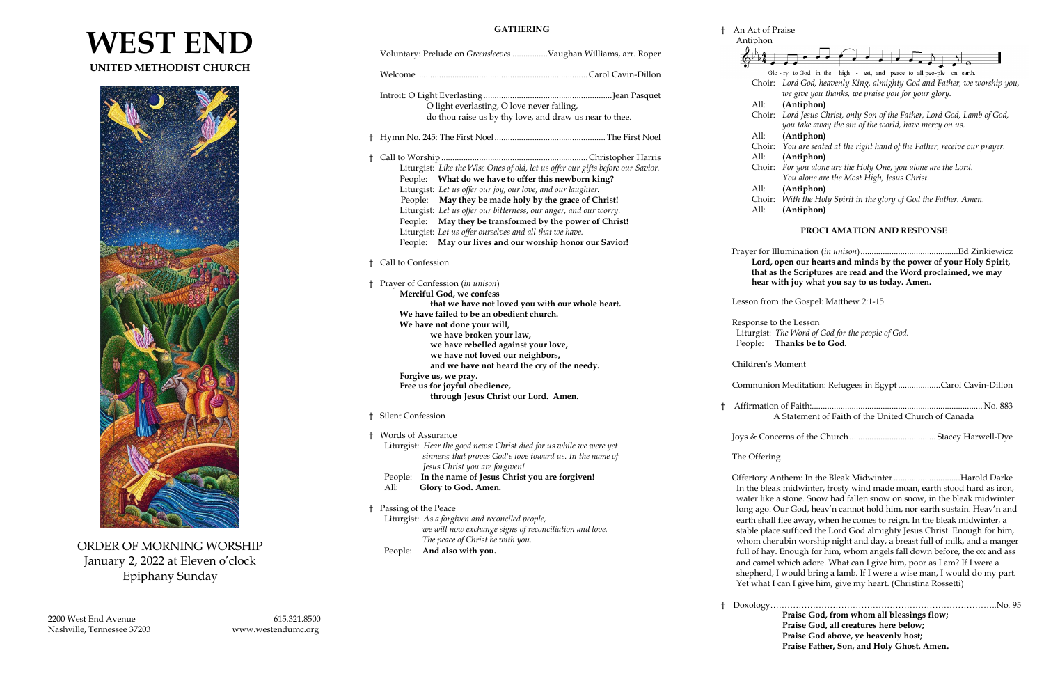



ORDER OF MORNING WORSHIP January 2, 2022 at Eleven o'clock Epiphany Sunday

# **GATHERING**

|    |                                                                                                                                                                                                                                                                                                                        | Antiphon                                           |
|----|------------------------------------------------------------------------------------------------------------------------------------------------------------------------------------------------------------------------------------------------------------------------------------------------------------------------|----------------------------------------------------|
|    | Voluntary: Prelude on Greensleeves Vaughan Williams, arr. Roper                                                                                                                                                                                                                                                        |                                                    |
|    |                                                                                                                                                                                                                                                                                                                        | Choir:                                             |
|    | O light everlasting, O love never failing,<br>do thou raise us by thy love, and draw us near to thee.                                                                                                                                                                                                                  | All:<br>Choir:                                     |
|    |                                                                                                                                                                                                                                                                                                                        | All:<br>Choir:                                     |
|    | Liturgist: Like the Wise Ones of old, let us offer our gifts before our Savior.<br>People: What do we have to offer this newborn king?                                                                                                                                                                                 | All:<br>Choir:                                     |
|    | Liturgist: Let us offer our joy, our love, and our laughter.<br>May they be made holy by the grace of Christ!<br>People:<br>Liturgist: Let us offer our bitterness, our anger, and our worry.<br>May they be transformed by the power of Christ!<br>People:<br>Liturgist: Let us offer ourselves and all that we have. | All:<br>Choir:<br>All:                             |
|    | People: May our lives and our worship honor our Savior!<br><sup>†</sup> Call to Confession                                                                                                                                                                                                                             | Prayer for I<br>Lord,                              |
|    | † Prayer of Confession (in unison)<br>Merciful God, we confess                                                                                                                                                                                                                                                         | that a<br>hear v                                   |
|    | that we have not loved you with our whole heart.<br>We have failed to be an obedient church.                                                                                                                                                                                                                           | Lesson fror                                        |
|    | We have not done your will,<br>we have broken your law,<br>we have rebelled against your love,                                                                                                                                                                                                                         | Response to<br>Liturgist:<br>People:               |
|    | we have not loved our neighbors,<br>and we have not heard the cry of the needy.                                                                                                                                                                                                                                        | Children's                                         |
|    | Forgive us, we pray.<br>Free us for joyful obedience,<br>through Jesus Christ our Lord. Amen.                                                                                                                                                                                                                          | Communio                                           |
|    | † Silent Confession                                                                                                                                                                                                                                                                                                    | Affirmatio<br>t                                    |
| t. | Words of Assurance<br>Liturgist: Hear the good news: Christ died for us while we were yet                                                                                                                                                                                                                              | Joys & Con                                         |
|    | sinners; that proves God's love toward us. In the name of<br>Jesus Christ you are forgiven!                                                                                                                                                                                                                            | The Offerir                                        |
|    | In the name of Jesus Christ you are forgiven!<br>People:<br>All:<br>Glory to God. Amen.                                                                                                                                                                                                                                | Offertory $A$<br>In the blea<br>water like         |
|    | <sup>†</sup> Passing of the Peace<br>Liturgist: As a forgiven and reconciled people,<br>we will now exchange signs of reconciliation and love.<br>The peace of Christ be with you.                                                                                                                                     | long ago.<br>earth shal<br>stable plac<br>whom che |
|    | And also with you.<br>People:                                                                                                                                                                                                                                                                                          | full of hay                                        |

 Prayer for Illumination (*in unison*)............................................Ed Zinkiewicz **L**, open our hearts and minds by the power of your Holy Spirit, as the Scriptures are read and the Word proclaimed, we may with joy what you say to us today. Amen.

om the Gospel: Matthew 2:1-15

to the Lesson The Word of God for the people of God. Thanks be to God.

s Moment

ion Meditation: Refugees in Egypt...................Carol Cavin-Dillon

### † An Act of Praise

Anthem: In the Bleak Midwinter.............................Harold Darke eak midwinter, frosty wind made moan, earth stood hard as iron, ke a stone. Snow had fallen snow on snow, in the bleak midwinter . Our God, heav'n cannot hold him, nor earth sustain. Heav'n and all flee away, when he comes to reign. In the bleak midwinter, a ace sufficed the Lord God almighty Jesus Christ. Enough for him, herubin worship night and day, a breast full of milk, and a manger ay. Enough for him, whom angels fall down before, the ox and ass and camel which adore. What can I give him, poor as I am? If I were a shepherd, I would bring a lamb. If I were a wise man, I would do my part. Yet what I can I give him, give my heart. (Christina Rossetti)

| Glo-ry to God in the high - est, and peace to all peo-ple on earth. |                                                                          |  |  |
|---------------------------------------------------------------------|--------------------------------------------------------------------------|--|--|
|                                                                     | Choir: Lord God, heavenly King, almighty God and Father, we worship you, |  |  |
|                                                                     | we give you thanks, we praise you for your glory.                        |  |  |
| All:                                                                | (Antiphon)                                                               |  |  |
| Choir:                                                              | Lord Jesus Christ, only Son of the Father, Lord God, Lamb of God,        |  |  |
|                                                                     | you take away the sin of the world, have mercy on us.                    |  |  |
| All:                                                                | (Antiphon)                                                               |  |  |
| Choir:                                                              | You are seated at the right hand of the Father, receive our prayer.      |  |  |
| All:                                                                | (Antiphon)                                                               |  |  |
| Choir:                                                              | For you alone are the Holy One, you alone are the Lord.                  |  |  |
|                                                                     | You alone are the Most High, Jesus Christ.                               |  |  |
|                                                                     |                                                                          |  |  |

(Antiphon)

ir: *With the Holy Spirit in the glory of God the Father. Amen.* (Antiphon)

# **PROCLAMATION AND RESPONSE**

† Affirmation of Faith:............................................................................. No. 883 A Statement of Faith of the United Church of Canada

Joys & Concerns of the Church....................................... Stacey Harwell-Dye

ing

† Doxology……………………………………………………………………..No. 95 **Praise God, from whom all blessings flow; Praise God, all creatures here below; Praise God above, ye heavenly host; Praise Father, Son, and Holy Ghost. Amen.**